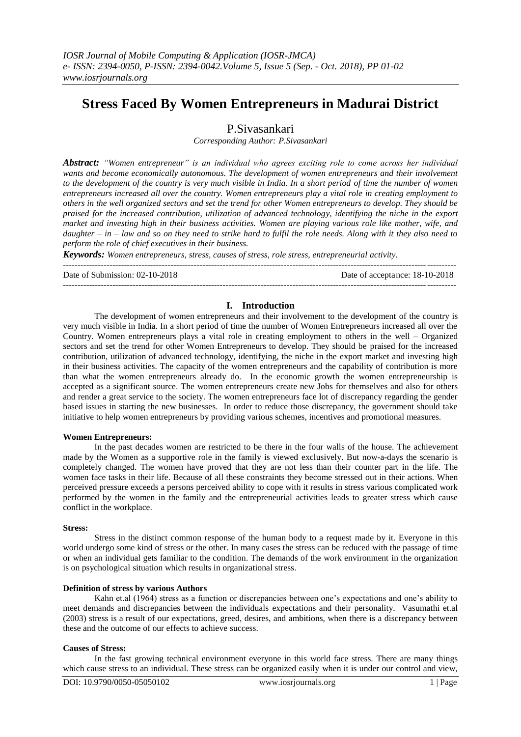# **Stress Faced By Women Entrepreneurs in Madurai District**

# P.Sivasankari

*Corresponding Author: P.Sivasankari*

*Abstract: "Women entrepreneur" is an individual who agrees exciting role to come across her individual wants and become economically autonomous. The development of women entrepreneurs and their involvement to the development of the country is very much visible in India. In a short period of time the number of women entrepreneurs increased all over the country. Women entrepreneurs play a vital role in creating employment to others in the well organized sectors and set the trend for other Women entrepreneurs to develop. They should be praised for the increased contribution, utilization of advanced technology, identifying the niche in the export market and investing high in their business activities. Women are playing various role like mother, wife, and daughter – in – law and so on they need to strike hard to fulfil the role needs. Along with it they also need to perform the role of chief executives in their business.* 

*Keywords: Women entrepreneurs, stress, causes of stress, role stress, entrepreneurial activity*.

--------------------------------------------------------------------------------------------------------------------------------------- Date of Submission: 02-10-2018 Date of acceptance: 18-10-2018 ---------------------------------------------------------------------------------------------------------------------------------------

## **I. Introduction**

The development of women entrepreneurs and their involvement to the development of the country is very much visible in India. In a short period of time the number of Women Entrepreneurs increased all over the Country. Women entrepreneurs plays a vital role in creating employment to others in the well – Organized sectors and set the trend for other Women Entrepreneurs to develop. They should be praised for the increased contribution, utilization of advanced technology, identifying, the niche in the export market and investing high in their business activities. The capacity of the women entrepreneurs and the capability of contribution is more than what the women entrepreneurs already do. In the economic growth the women entrepreneurship is accepted as a significant source. The women entrepreneurs create new Jobs for themselves and also for others and render a great service to the society. The women entrepreneurs face lot of discrepancy regarding the gender based issues in starting the new businesses. In order to reduce those discrepancy, the government should take initiative to help women entrepreneurs by providing various schemes, incentives and promotional measures.

## **Women Entrepreneurs:**

In the past decades women are restricted to be there in the four walls of the house. The achievement made by the Women as a supportive role in the family is viewed exclusively. But now-a-days the scenario is completely changed. The women have proved that they are not less than their counter part in the life. The women face tasks in their life. Because of all these constraints they become stressed out in their actions. When perceived pressure exceeds a persons perceived ability to cope with it results in stress various complicated work performed by the women in the family and the entrepreneurial activities leads to greater stress which cause conflict in the workplace.

#### **Stress:**

Stress in the distinct common response of the human body to a request made by it. Everyone in this world undergo some kind of stress or the other. In many cases the stress can be reduced with the passage of time or when an individual gets familiar to the condition. The demands of the work environment in the organization is on psychological situation which results in organizational stress.

## **Definition of stress by various Authors**

Kahn et.al (1964) stress as a function or discrepancies between one's expectations and one's ability to meet demands and discrepancies between the individuals expectations and their personality. Vasumathi et.al (2003) stress is a result of our expectations, greed, desires, and ambitions, when there is a discrepancy between these and the outcome of our effects to achieve success.

## **Causes of Stress:**

In the fast growing technical environment everyone in this world face stress. There are many things which cause stress to an individual. These stress can be organized easily when it is under our control and view,